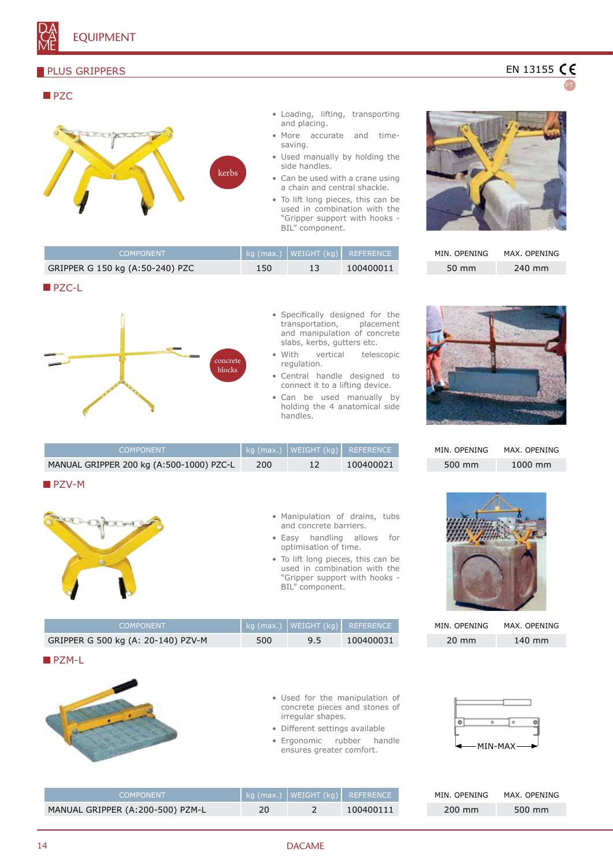## **PLUS GRIPPERS**

#### **PZC** • Loading, lifting, transporting and placing. **ERN STREETS** • More accurate and timesaving. • Used manually by holding the side handles. kerbs • Can be used with a crane using a chain and central shackle. • To lift long pieces, this can be used in combination with the "Gripper support with hooks - BIL" component.

| <b>COMPONENT</b>                |     | kg (max.)   WEIGHT (kg)   REFERENCE |           |
|---------------------------------|-----|-------------------------------------|-----------|
| GRIPPER G 150 kg (A:50-240) PZC | 150 |                                     | 100400011 |
|                                 |     |                                     |           |





- Specifically designed for the transportation, placement and manipulation of concrete slabs, kerbs, gutters etc.
- With vertical telescopic regulation.
- Central handle designed to connect it to a lifting device.
- Can be used manually by holding the 4 anatomical side handles.

| <b>COMPONENT</b>                         |     | kg (max.)   WEIGHT (kg)   REFERENCE |
|------------------------------------------|-----|-------------------------------------|
| MANUAL GRIPPER 200 kg (A:500-1000) PZC-L | 200 | 100400021                           |

## **PZV-M**



|  | • Manipulation of drains, tubs |  |  |
|--|--------------------------------|--|--|
|  | and concrete barriers.         |  |  |

- Easy handling allows for optimisation of time.
- To lift long pieces, this can be used in combination with the "Gripper support with hooks - BIL" component.

| <b>COMPONENT</b>                   |     |     | kg (max.)   WEIGHT (kg)   REFERENCE |
|------------------------------------|-----|-----|-------------------------------------|
| GRIPPER G 500 kg (A: 20-140) PZV-M | 500 | 9.5 | 100400031                           |

## **PZM-L**



|                   |  |  | • Used for the manipulation of |  |
|-------------------|--|--|--------------------------------|--|
|                   |  |  | concrete pieces and stones of  |  |
| irregular shapes. |  |  |                                |  |

- Different settings available
- Ergonomic rubber handle ensures greater comfort.

EN 13155 CE

PT

| MIN. OPENING | MAX. OPENING |
|--------------|--------------|
| 50 mm        | 240 mm       |



| MIN. OPENING | MAX. OPENING      |
|--------------|-------------------|
| 500 mm       | $1000 \text{ mm}$ |



| MIN. OPENING    | MAX. OPENING |
|-----------------|--------------|
| $20 \text{ mm}$ | 140 mm       |



| COMPONENT                        |  | kg (max.) WEIGHT (kg) REFERENCE | MIN. OPENING | MAX. OPENING |
|----------------------------------|--|---------------------------------|--------------|--------------|
| MANUAL GRIPPER (A:200-500) PZM-L |  | 100400111                       | 200 mm       | 500 mm       |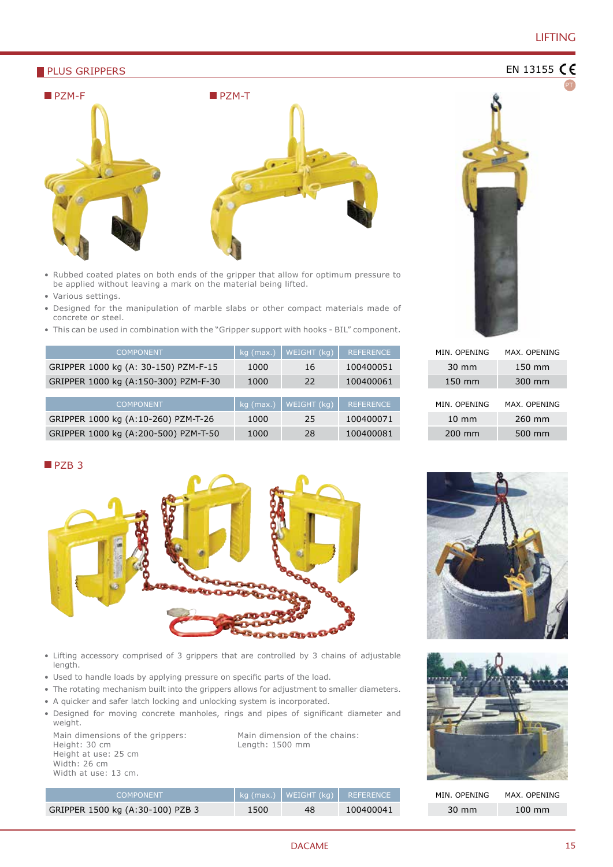# LIFTING

PT

EN 13155 CE

#### **PLUS GRIPPERS**



- Rubbed coated plates on both ends of the gripper that allow for optimum pressure to be applied without leaving a mark on the material being lifted.
- Various settings.
- Designed for the manipulation of marble slabs or other compact materials made of concrete or steel.
- This can be used in combination with the "Gripper support with hooks BIL" component.

| <b>COMPONENT</b>                     | $kg$ (max.) | WEIGHT (kg) | <b>REFERENCE</b> |
|--------------------------------------|-------------|-------------|------------------|
| GRIPPER 1000 kg (A: 30-150) PZM-F-15 | 1000        | 16          | 100400051        |
| GRIPPER 1000 kg (A:150-300) PZM-F-30 | 1000        | 22          | 100400061        |
|                                      |             |             |                  |
| <b>COMPONENT</b>                     | $kg$ (max.) | WEIGHT (kg) | <b>REFERENCE</b> |
| GRIPPER 1000 kg (A:10-260) PZM-T-26  | 1000        | 25          | 100400071        |
| GRIPPER 1000 kg (A:200-500) PZM-T-50 | 1000        | 28          | 100400081        |



| MIN. OPFNING    | MAX. OPENING |
|-----------------|--------------|
| $30 \text{ mm}$ | 150 mm       |
| 150 mm          | 300 mm       |
| MIN. OPENING    | MAX. OPENING |
| $10 \text{ mm}$ | 260 mm       |
| 200 mm          | 500 mm       |

#### PZB<sub>3</sub>



- Lifting accessory comprised of 3 grippers that are controlled by 3 chains of adjustable length.
- Used to handle loads by applying pressure on specific parts of the load.
- The rotating mechanism built into the grippers allows for adjustment to smaller diameters.
- A quicker and safer latch locking and unlocking system is incorporated.
- Designed for moving concrete manholes, rings and pipes of significant diameter and weight.

Main dimensions of the grippers: Height: 30 cm Height at use: 25 cm Width: 26 cm Width at use: 13 cm.

Main dimension of the chains: Length: 1500 mm







MIN. OPENING MAX. OPENING 30 mm 100 mm